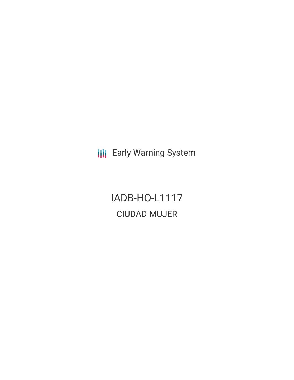**III** Early Warning System

IADB-HO-L1117 CIUDAD MUJER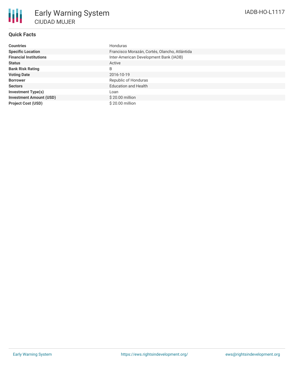## **Quick Facts**

| <b>Countries</b>               | Honduras                                      |
|--------------------------------|-----------------------------------------------|
| <b>Specific Location</b>       | Francisco Morazán, Cortés, Olancho, Atlántida |
| <b>Financial Institutions</b>  | Inter-American Development Bank (IADB)        |
| <b>Status</b>                  | Active                                        |
| <b>Bank Risk Rating</b>        | B                                             |
| <b>Voting Date</b>             | 2016-10-19                                    |
| <b>Borrower</b>                | Republic of Honduras                          |
| <b>Sectors</b>                 | <b>Education and Health</b>                   |
| <b>Investment Type(s)</b>      | Loan                                          |
| <b>Investment Amount (USD)</b> | $$20.00$ million                              |
| <b>Project Cost (USD)</b>      | $$20.00$ million                              |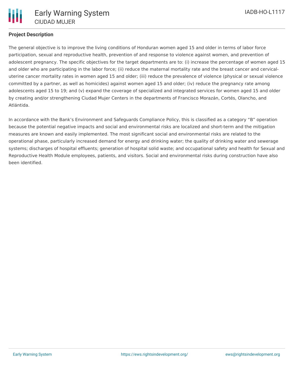

## **Project Description**

The general objective is to improve the living conditions of Honduran women aged 15 and older in terms of labor force participation, sexual and reproductive health, prevention of and response to violence against women, and prevention of adolescent pregnancy. The specific objectives for the target departments are to: (i) increase the percentage of women aged 15 and older who are participating in the labor force; (ii) reduce the maternal mortality rate and the breast cancer and cervicaluterine cancer mortality rates in women aged 15 and older; (iii) reduce the prevalence of violence (physical or sexual violence committed by a partner, as well as homicides) against women aged 15 and older; (iv) reduce the pregnancy rate among adolescents aged 15 to 19; and (v) expand the coverage of specialized and integrated services for women aged 15 and older by creating and/or strengthening Ciudad Mujer Centers in the departments of Francisco Morazán, Cortés, Olancho, and Atlántida.

In accordance with the Bank's Environment and Safeguards Compliance Policy, this is classified as a category "B" operation because the potential negative impacts and social and environmental risks are localized and short-term and the mitigation measures are known and easily implemented. The most significant social and environmental risks are related to the operational phase, particularly increased demand for energy and drinking water; the quality of drinking water and sewerage systems; discharges of hospital effluents; generation of hospital solid waste; and occupational safety and health for Sexual and Reproductive Health Module employees, patients, and visitors. Social and environmental risks during construction have also been identified.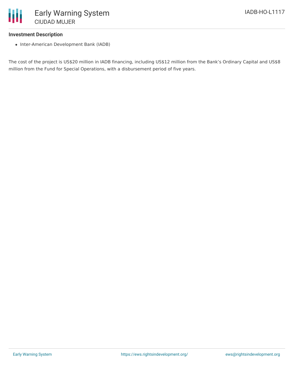

### **Investment Description**

• Inter-American Development Bank (IADB)

The cost of the project is US\$20 million in IADB financing, including US\$12 million from the Bank's Ordinary Capital and US\$8 million from the Fund for Special Operations, with a disbursement period of five years.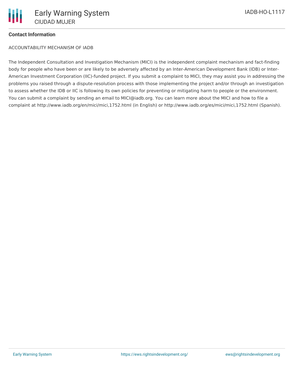# **Contact Information**

ACCOUNTABILITY MECHANISM OF IADB

The Independent Consultation and Investigation Mechanism (MICI) is the independent complaint mechanism and fact-finding body for people who have been or are likely to be adversely affected by an Inter-American Development Bank (IDB) or Inter-American Investment Corporation (IIC)-funded project. If you submit a complaint to MICI, they may assist you in addressing the problems you raised through a dispute-resolution process with those implementing the project and/or through an investigation to assess whether the IDB or IIC is following its own policies for preventing or mitigating harm to people or the environment. You can submit a complaint by sending an email to MICI@iadb.org. You can learn more about the MICI and how to file a complaint at http://www.iadb.org/en/mici/mici,1752.html (in English) or http://www.iadb.org/es/mici/mici,1752.html (Spanish).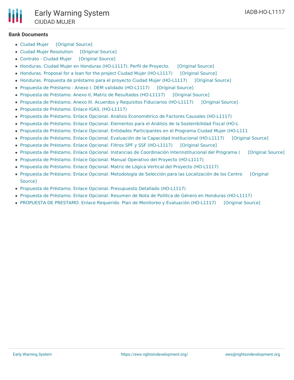

#### **Bank Documents**

- [Ciudad](https://ewsdata.rightsindevelopment.org/files/documents/17/IADB-HO-L1117_ANjCSp0.pdf) Mujer [\[Original](http://www.iadb.org/Document.cfm?id=40420566) Source]
- Ciudad Mujer [Resolution](https://ewsdata.rightsindevelopment.org/files/documents/17/IADB-HO-L1117_ttkglyv.pdf) [\[Original](http://www.iadb.org/Document.cfm?id=40420579) Source]
- [Contrato](https://ewsdata.rightsindevelopment.org/files/documents/17/IADB-HO-L1117_BGpbtlQ.pdf) Ciudad Muier [\[Original](http://www.iadb.org/Document.cfm?id=40853839) Source]
- Honduras. Ciudad Mujer en Honduras [\(HO-L1117\).](https://ewsdata.rightsindevelopment.org/files/documents/17/IADB-HO-L1117.pdf) Perfil de Proyecto. [\[Original](http://www.iadb.org/Document.cfm?id=40273219) Source]
- Honduras. Proposal for a loan for the project Ciudad Mujer [\(HO-L1117\)](https://ewsdata.rightsindevelopment.org/files/documents/17/IADB-HO-L1117_i6GdAWH.pdf) [\[Original](http://idbdocs.iadb.org/wsdocs/getdocument.aspx?docnum=40701436) Source]
- Honduras. Propuesta de préstamo para el proyecto Ciudad Mujer [\(HO-L1117\)](https://ewsdata.rightsindevelopment.org/files/documents/17/IADB-HO-L1117_6yzhKIN.pdf) [\[Original](http://www.iadb.org/Document.cfm?id=40701437) Source]
- Propuesta de Préstamo Anexo I. DEM validado [\(HO-L1117\)](https://ewsdata.rightsindevelopment.org/files/documents/17/IADB-HO-L1117_2SbKQCW.pdf) [\[Original](http://idbdocs.iadb.org/wsdocs/getdocument.aspx?docnum=40544923) Source]
- Propuesta de Préstamo. Anexo II, Matriz de Resultados [\(HO-L1117\)](https://ewsdata.rightsindevelopment.org/files/documents/17/IADB-HO-L1117_2M141AA.pdf) [\[Original](http://idbdocs.iadb.org/wsdocs/getdocument.aspx?docnum=40489234) Source]
- Propuesta de Préstamo. Anexo III. Acuerdos y Requisitos Fiduciarios [\(HO-L1117\)](https://ewsdata.rightsindevelopment.org/files/documents/17/IADB-HO-L1117_zm25LRb.pdf) [\[Original](http://idbdocs.iadb.org/wsdocs/getdocument.aspx?docnum=40608801) Source]
- Propuesta de Préstamo. Enlace IGAS, [\(HO-L1117\)](http://www.iadb.org/Document.cfm?id=40489239)
- Propuesta de Préstamo. Enlace Opcional. Análisis [Econométrico](http://www.iadb.org/Document.cfm?id=40394530) de Factores Causales (HO-L1117)
- Propuesta de Préstamo. Enlace Opcional. Elementos para el Análisis de la [Sostenibilidad](http://www.iadb.org/Document.cfm?id=40544991) Fiscal (HO-L
- Propuesta de Préstamo. Enlace Opcional. Entidades [Participantes](http://www.iadb.org/Document.cfm?id=40388257) en el Programa Ciudad Mujer (HO-L111
- Propuesta de Préstamo. Enlace Opcional. Evaluación de la Capacidad [Institucional](https://ewsdata.rightsindevelopment.org/files/documents/17/IADB-HO-L1117_sx4RqOm.pdf) (HO-L1117) [\[Original](http://idbdocs.iadb.org/wsdocs/getdocument.aspx?docnum=40489270) Source]
- Propuesta de Préstamo. Enlace Opcional. Filtros SPF y SSF [\(HO-L1117\)](https://ewsdata.rightsindevelopment.org/files/documents/17/IADB-HO-L1117_IO2SunP.pdf) [\[Original](http://idbdocs.iadb.org/wsdocs/getdocument.aspx?docnum=40489235) Source]
- Propuesta de Préstamo. Enlace Opcional. Instancias de Coordinación [Interinstitucional](https://ewsdata.rightsindevelopment.org/files/documents/17/IADB-HO-L1117_G1P6CxM.pdf) del Programa ( [\[Original](http://idbdocs.iadb.org/wsdocs/getdocument.aspx?docnum=40388258) Source]
- Propuesta de Préstamo. Enlace Opcional. Manual Operativo del Proyecto [\(HO-L1117\)](http://www.iadb.org/Document.cfm?id=40489255)
- Propuesta de Préstamo. Enlace Opcional. Matriz de Lógica Vertical del Proyecto [\(HO-L1117\)](http://www.iadb.org/Document.cfm?id=40489252)
- Propuesta de Préstamo. Enlace Opcional. [Metodología](https://ewsdata.rightsindevelopment.org/files/documents/17/IADB-HO-L1117_LFOw5WF.pdf) de Selección para las Localización de los Centro [Original Source]
- Propuesta de Préstamo. Enlace Opcional. [Presupuesto](http://www.iadb.org/Document.cfm?id=40489247) Detallado (HO-L1117)
- Propuesta de Préstamo. Enlace Opcional. Resumen de Nota de Políitca de Género en Honduras [\(HO-L1117\)](http://www.iadb.org/Document.cfm?id=40388210)
- [PROPUESTA](https://ewsdata.rightsindevelopment.org/files/documents/17/IADB-HO-L1117_eYtJieK.pdf) DE PRESTAMO. Enlace Requerido. Plan de Monitoreo y Evaluación (HO-L1117) [\[Original](http://idbdocs.iadb.org/wsdocs/getdocument.aspx?docnum=40489238) Source]